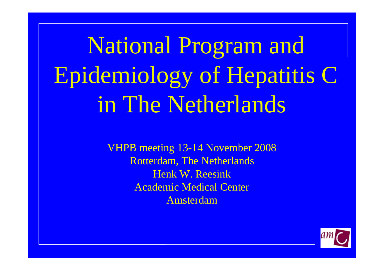National Program and Epidemiology of Hepatitis C in The Netherlands

> VHPB meeting 13-14 November 2008 Rotterdam, The Netherlands Henk W. ReesinkAcademic Medical Center Amsterdam

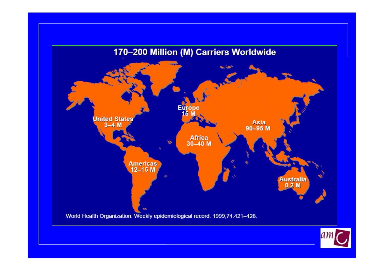

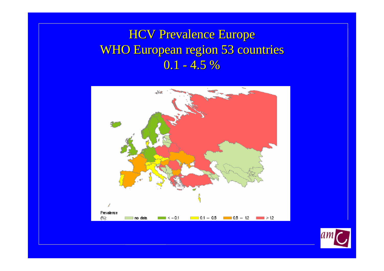## **HCV Prevalence Europe WHO European region 53 countries**  $0.1$  -  $4.5~\%$



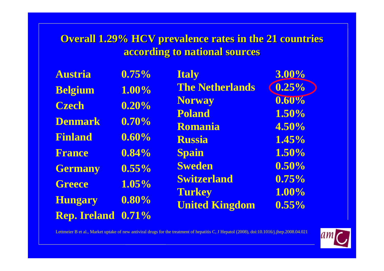### **Overall 1.29% HCV prevalence rates in the 21 countries according to national sources according to national sources**

| <b>Austria</b>      | 0.75%    | <b>Italy</b>           | 3.00%    |
|---------------------|----------|------------------------|----------|
| <b>Belgium</b>      | 1.00%    | <b>The Netherlands</b> | 0.25%    |
| <b>Czech</b>        | 0.20%    | <b>Norway</b>          | $0.60\%$ |
|                     |          | <b>Poland</b>          | 1.50%    |
| <b>Denmark</b>      | 0.70%    | Romania                | 4.50%    |
| <b>Finland</b>      | 0.60%    | <b>Russia</b>          | 1.45%    |
| <b>France</b>       | 0.84%    | <b>Spain</b>           | 1.50%    |
| <b>Germany</b>      | $0.55\%$ | <b>Sweden</b>          | 0.50%    |
| <b>Greece</b>       | 1.05%    | <b>Switzerland</b>     | 0.75%    |
|                     |          | <b>Turkey</b>          | 1.00%    |
| <b>Hungary</b>      | $0.80\%$ | <b>United Kingdom</b>  | 0.55%    |
| <b>Rep. Ireland</b> | 0.71%    |                        |          |

Lettmeier B et al., Market uptake of new antiviral drugs for the treatment of hepatitis C, J Hepatol (2008), doi:10.1016/j.jhep.2008.04.021

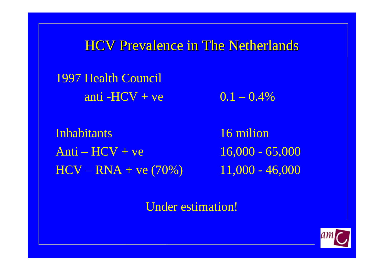**HCV Prevalence in The Netherlands** 

1997 Health Council anti -HCV + ve  $0.1 - 0.4\%$ 

Inhabitants 16 milion $Anti - HCV + ve$  16,000 - 65,000  $HCV - RNA + ve (70%)$  11,000 - 46,000

Under estimation!

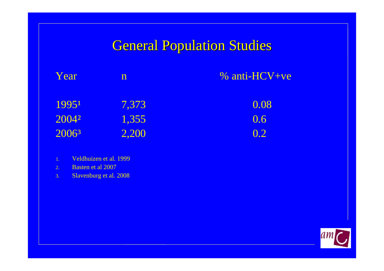## **General Population Studies**

| Year  | ${\bf n}$ | $%$ anti-HCV+ve |
|-------|-----------|-----------------|
| 19951 | 7,373     | 0.08            |
| 20042 | 1,355     | 0.6             |
| 20063 | 2,200     | 0.2             |

- 1. Veldhuizen et al. 1999
- 2. Basten et al 2007
- 3. Slavenburg et al. 2008

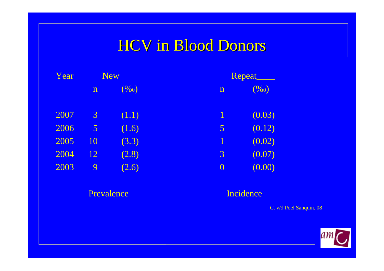# **HCV in Blood Donors**

| Year | <b>New</b>     |       | Repeat         |        |
|------|----------------|-------|----------------|--------|
|      | $\mathbf n$    | (960) | $\mathbf n$    | (960)  |
| 2007 | $\mathfrak{Z}$ | (1.1) | 1              | (0.03) |
| 2006 | $\overline{5}$ | (1.6) | 5              | (0.12) |
| 2005 | 10             | (3.3) | 1              | (0.02) |
| 2004 | 12             | (2.8) | 3              | (0.07) |
| 2003 | 9              | (2.6) | $\overline{0}$ | (0.00) |

#### Prevalence

#### Incidence

C. v/d Poel Sanquin. 08

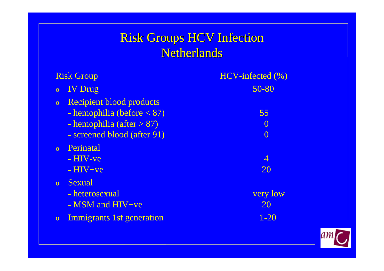### Risk Groups HCV Infection Netherlands

| <b>Risk Group</b>                                                                                                                                 | HCV-infected (%)                         |
|---------------------------------------------------------------------------------------------------------------------------------------------------|------------------------------------------|
| <b>IV</b> Drug<br>$\overline{O}$                                                                                                                  | 50-80                                    |
| <b>Recipient blood products</b><br>$\overline{O}$<br>- hemophilia (before $< 87$ )<br>- hemophilia (after $> 87$ )<br>- screened blood (after 91) | 55<br>$\left( \right)$<br>$\overline{0}$ |
| Perinatal<br>$\overline{O}$<br>$- HIV-ve$<br>$-HIV+ve$                                                                                            | 4<br>20                                  |
| Sexual<br>$\overline{O}$<br>- heterosexual<br>$-$ MSM and HIV+ve                                                                                  | very low<br>20                           |
| Immigrants 1st generation<br>$\overline{O}$                                                                                                       | $1 - 20$                                 |

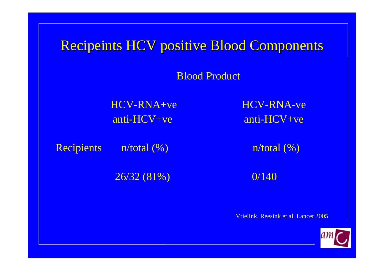Recipeints HCV positive Blood Components

Blood Product

HCV-RNA+ve HCV-RNA-ve

anti-HCV+ve anti-HCV+ve

Recipients  $n/total$  (%)  $n/total$  (%)

 $26/32(81\%)$  0/140

Vrielink, Reesink et al. Lancet 2005

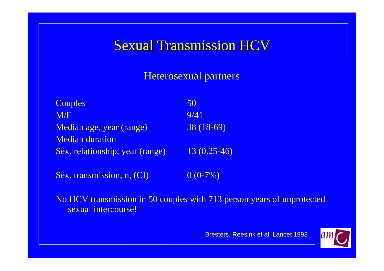## **Sexual Transmission HCV**

### Heterosexual partners

| Couples                         | 50            |
|---------------------------------|---------------|
| M/F                             | 9/41          |
| Median age, year (range)        | $38(18-69)$   |
| <b>Median duration</b>          |               |
| Sex. relationship, year (range) | $13(0.25-46)$ |
|                                 |               |

Sex. transmission, n,  $(CI)$  0 (0-7%)

No HCV transmission in 50 couples with 713 person years of unprotected sexual intercourse!

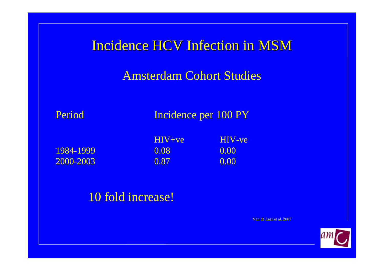| Incidence HCV Infection in MSM  |                    |                       |  |
|---------------------------------|--------------------|-----------------------|--|
| <b>Amsterdam Cohort Studies</b> |                    |                       |  |
| Period<br>Incidence per 100 PY  |                    |                       |  |
| 1984-1999                       | $H_V + ve$<br>0.08 | <b>HIV-ve</b><br>0.00 |  |
| 2000-2003                       | 0.87               | 0.00                  |  |

### 10 fold increase!

Van de Laar et al. 2007

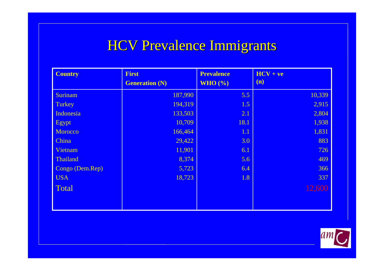## **HCV Prevalence Immigrants**

| <b>Country</b>  | <b>First</b>          | <b>Prevalence</b> | $HCV + ve$ |
|-----------------|-----------------------|-------------------|------------|
|                 | <b>Generation (N)</b> | WHO $(\% )$       | (n)        |
| Surinam         | 187,990               | 5.5               | 10,339     |
| <b>Turkey</b>   | 194,319               | 1.5               | 2,915      |
| Indonesia       | 133,503               | 2.1               | 2,804      |
| Egypt           | 10,709                | 18.1              | 1,938      |
| Morocco         | 166,464               | 1.1               | 1,831      |
| China           | 29,422                | 3.0               | 883        |
| Vietnam         | 11,901                | 6.1               | 726        |
| Thailand        | 8,374                 | 5.6               | 469        |
| Congo (Dem.Rep) | 5,723                 | 6.4               | 366        |
| <b>USA</b>      | 18,723                | 1.8               | 337        |
| Total           |                       |                   | 12,600     |
|                 |                       |                   |            |
|                 |                       |                   |            |

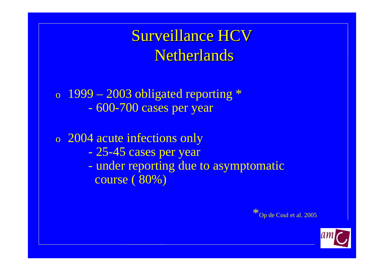**Surveillance HCV** Netherlands

o  $1999 - 2003$  obligated reporting  $*$ - 600-700 cases per year

o 2004 acute infections only - 25-45 cases per year - under reporting due to asymptomatic course ( 80%)



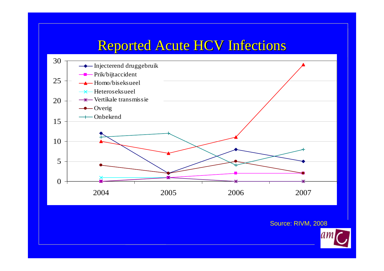# Reported Acute HCV Infections



Source: RIVM, 2008

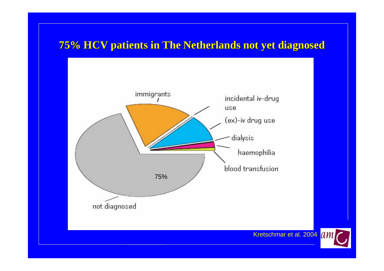### **75% HCV patients in The Netherlands not yet diagnosed 75% HCV patients in The Netherlands not yet diagnosed**



Kretschmar et al. 2004 AM

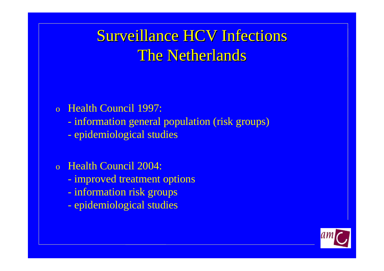# **Surveillance HCV Infections** The Netherlands

### o Health Council 1997:

- information general population (risk groups)
- epidemiological studies
- o Health Council 2004:
	- improved treatment options
	- information risk groups
	- epidemiological studies

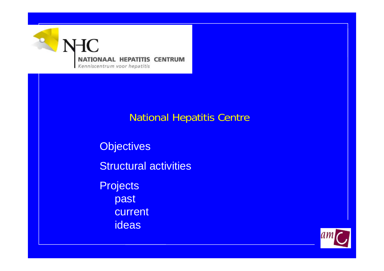

### National Hepatitis Centre

**Objectives** Structural activities **Projects** past current ideas

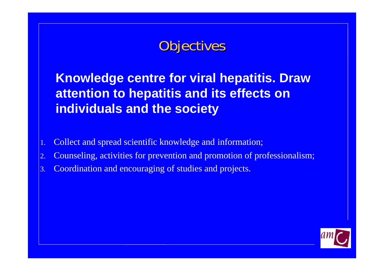# **Objectives**

**Knowledge centre for viral hepatitis. Draw attention to hepatitis and its effects on individuals and the society**

- 1. Collect and spread scientific knowledge and information;
- 2. Counseling, activities for prevention and promotion of professionalism;
- 3. Coordination and encouraging of studies and projects.

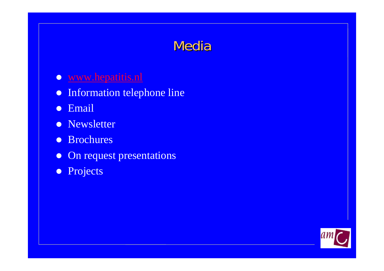# Media

### **O** [www.hepatitis.nl](http://www.hepatitis.nl/)

- $\bullet$ Information telephone line
- $\bullet$ Email
- Newsletter
- $\bullet$ Brochures
- $\bullet$ On reques<sup>t</sup> presentations
- **•** Projects

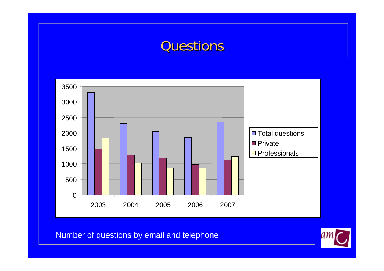## **Questions**



Number of questions by email and telephone

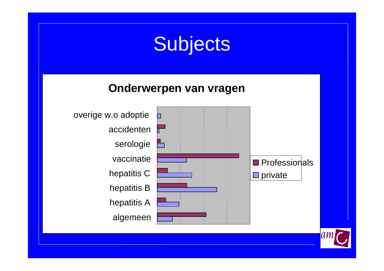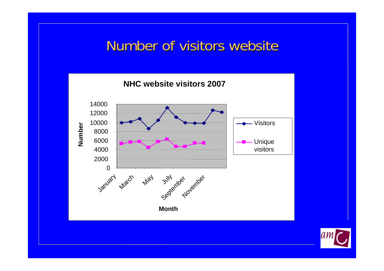## Number of visitors website



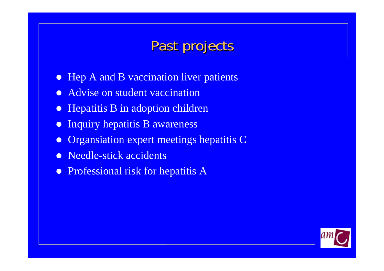# Past projects

- $\bullet$ Hep A and B vaccination liver patients
- $\bullet$ Advise on student vaccination
- $\bullet$ Hepatitis B in adoption children
- $\bullet$ Inquiry hepatitis B awareness
- $\bullet$ Organsiation expert meetings hepatitis C
- $\bullet$ Needle-stick accidents
- Professional risk for hepatitis A

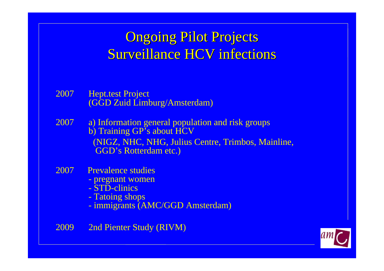# **Ongoing Pilot Projects** Surveillance HCV infections

- 2007 Hept.test Project (GGD Zuid Limburg/Amsterdam)
- 2007 a) Information general population and risk groups b) Training GP's about HCV (NIGZ, NHC, NHG, Julius Centre, Trimbos, Mainline, GGD's Rotterdam etc.)
- 2007 Prevalence studies
	- pregnant women
	- STD-clinics
	- Tatoing shops
	- immigrants (AMC/GGD Amsterdam)
- 2009 2nd Pienter Study (RIVM)

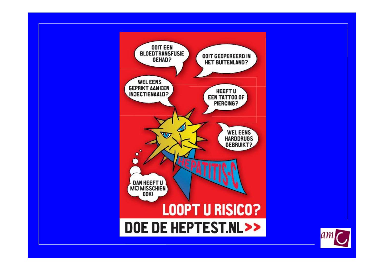

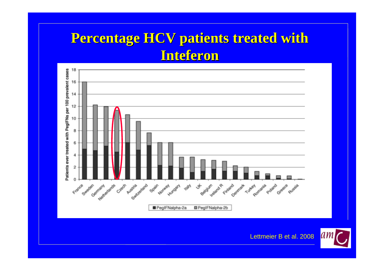# **Percentage HCV patients treated with Inteferon Inteferon**



Lettmeier B et al. 2008